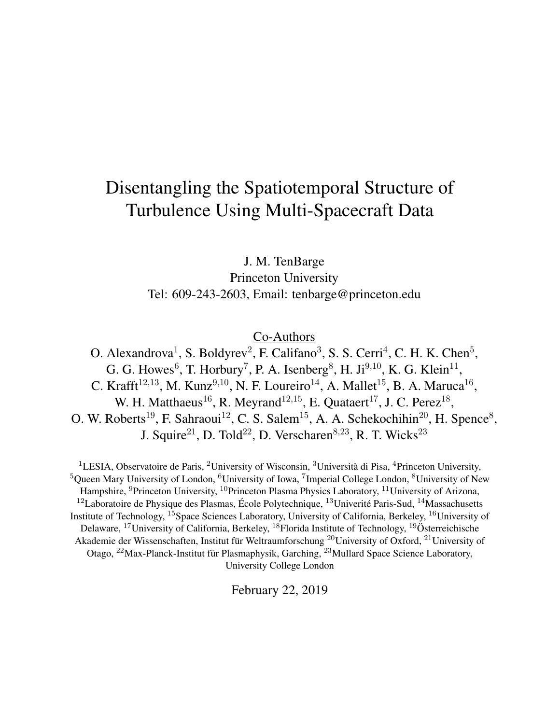# Disentangling the Spatiotemporal Structure of Turbulence Using Multi-Spacecraft Data

J. M. TenBarge Princeton University Tel: 609-243-2603, Email: tenbarge@princeton.edu

Co-Authors

O. Alexandrova<sup>1</sup>, S. Boldyrev<sup>2</sup>, F. Califano<sup>3</sup>, S. S. Cerri<sup>4</sup>, C. H. K. Chen<sup>5</sup>, G. G. Howes<sup>6</sup>, T. Horbury<sup>7</sup>, P. A. Isenberg<sup>8</sup>, H. Ji<sup>9,10</sup>, K. G. Klein<sup>11</sup>, C. Krafft<sup>12,13</sup>, M. Kunz<sup>9,10</sup>, N. F. Loureiro<sup>14</sup>, A. Mallet<sup>15</sup>, B. A. Maruca<sup>16</sup>, W. H. Matthaeus<sup>16</sup>, R. Meyrand<sup>12,15</sup>, E. Quataert<sup>17</sup>, J. C. Perez<sup>18</sup>, O. W. Roberts<sup>19</sup>, F. Sahraoui<sup>12</sup>, C. S. Salem<sup>15</sup>, A. A. Schekochihin<sup>20</sup>, H. Spence<sup>8</sup>, J. Squire<sup>21</sup>, D. Told<sup>22</sup>, D. Verscharen<sup>8,23</sup>, R. T. Wicks<sup>23</sup>

<sup>1</sup>LESIA, Observatoire de Paris, <sup>2</sup>University of Wisconsin, <sup>3</sup>Università di Pisa, <sup>4</sup>Princeton University,  ${}^{5}$ Queen Mary University of London,  ${}^{6}$ University of Iowa,  ${}^{7}$ Imperial College London,  ${}^{8}$ University of New Hampshire, <sup>9</sup>Princeton University, <sup>10</sup>Princeton Plasma Physics Laboratory, <sup>11</sup>University of Arizona,  $12$ Laboratoire de Physique des Plasmas, École Polytechnique,  $13$ Univerité Paris-Sud,  $14$ Massachusetts Institute of Technology, <sup>15</sup>Space Sciences Laboratory, University of California, Berkeley, <sup>16</sup>University of Delaware, <sup>17</sup>University of California, Berkeley, <sup>18</sup>Florida Institute of Technology, <sup>19</sup>Österreichische Akademie der Wissenschaften, Institut für Weltraumforschung <sup>20</sup>University of Oxford, <sup>21</sup>University of Otago, <sup>22</sup>Max-Planck-Institut für Plasmaphysik, Garching, <sup>23</sup>Mullard Space Science Laboratory, University College London

February 22, 2019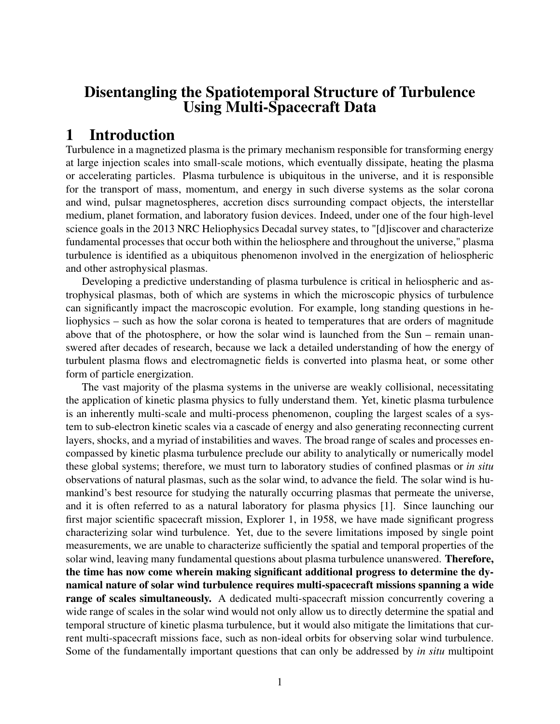## Disentangling the Spatiotemporal Structure of Turbulence Using Multi-Spacecraft Data

# 1 Introduction

Turbulence in a magnetized plasma is the primary mechanism responsible for transforming energy at large injection scales into small-scale motions, which eventually dissipate, heating the plasma or accelerating particles. Plasma turbulence is ubiquitous in the universe, and it is responsible for the transport of mass, momentum, and energy in such diverse systems as the solar corona and wind, pulsar magnetospheres, accretion discs surrounding compact objects, the interstellar medium, planet formation, and laboratory fusion devices. Indeed, under one of the four high-level science goals in the 2013 NRC Heliophysics Decadal survey states, to "[d]iscover and characterize fundamental processes that occur both within the heliosphere and throughout the universe," plasma turbulence is identified as a ubiquitous phenomenon involved in the energization of heliospheric and other astrophysical plasmas.

Developing a predictive understanding of plasma turbulence is critical in heliospheric and astrophysical plasmas, both of which are systems in which the microscopic physics of turbulence can significantly impact the macroscopic evolution. For example, long standing questions in heliophysics – such as how the solar corona is heated to temperatures that are orders of magnitude above that of the photosphere, or how the solar wind is launched from the Sun – remain unanswered after decades of research, because we lack a detailed understanding of how the energy of turbulent plasma flows and electromagnetic fields is converted into plasma heat, or some other form of particle energization.

The vast majority of the plasma systems in the universe are weakly collisional, necessitating the application of kinetic plasma physics to fully understand them. Yet, kinetic plasma turbulence is an inherently multi-scale and multi-process phenomenon, coupling the largest scales of a system to sub-electron kinetic scales via a cascade of energy and also generating reconnecting current layers, shocks, and a myriad of instabilities and waves. The broad range of scales and processes encompassed by kinetic plasma turbulence preclude our ability to analytically or numerically model these global systems; therefore, we must turn to laboratory studies of confined plasmas or *in situ* observations of natural plasmas, such as the solar wind, to advance the field. The solar wind is humankind's best resource for studying the naturally occurring plasmas that permeate the universe, and it is often referred to as a natural laboratory for plasma physics [1]. Since launching our first major scientific spacecraft mission, Explorer 1, in 1958, we have made significant progress characterizing solar wind turbulence. Yet, due to the severe limitations imposed by single point measurements, we are unable to characterize sufficiently the spatial and temporal properties of the solar wind, leaving many fundamental questions about plasma turbulence unanswered. Therefore, the time has now come wherein making significant additional progress to determine the dynamical nature of solar wind turbulence requires multi-spacecraft missions spanning a wide range of scales simultaneously. A dedicated multi-spacecraft mission concurrently covering a wide range of scales in the solar wind would not only allow us to directly determine the spatial and temporal structure of kinetic plasma turbulence, but it would also mitigate the limitations that current multi-spacecraft missions face, such as non-ideal orbits for observing solar wind turbulence. Some of the fundamentally important questions that can only be addressed by *in situ* multipoint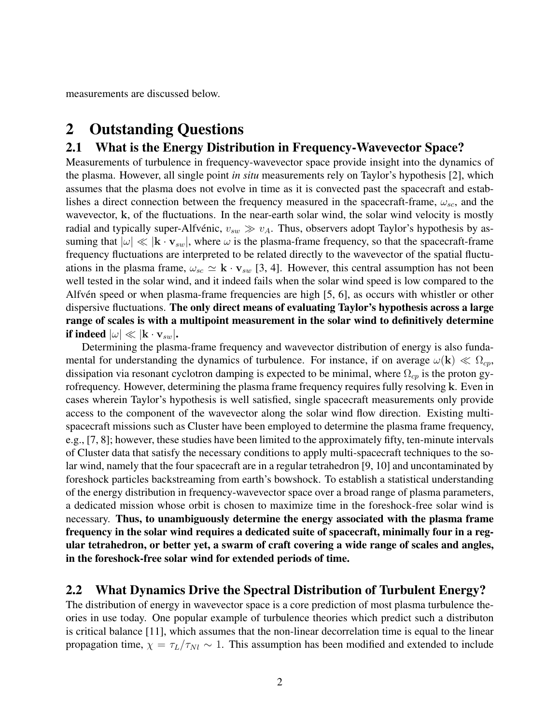measurements are discussed below.

## 2 Outstanding Questions

#### 2.1 What is the Energy Distribution in Frequency-Wavevector Space?

Measurements of turbulence in frequency-wavevector space provide insight into the dynamics of the plasma. However, all single point *in situ* measurements rely on Taylor's hypothesis [2], which assumes that the plasma does not evolve in time as it is convected past the spacecraft and establishes a direct connection between the frequency measured in the spacecraft-frame,  $\omega_{sc}$ , and the wavevector, k, of the fluctuations. In the near-earth solar wind, the solar wind velocity is mostly radial and typically super-Alfvénic,  $v_{sw} \gg v_A$ . Thus, observers adopt Taylor's hypothesis by assuming that  $|\omega| \ll |\mathbf{k} \cdot \mathbf{v}_{sw}|$ , where  $\omega$  is the plasma-frame frequency, so that the spacecraft-frame frequency fluctuations are interpreted to be related directly to the wavevector of the spatial fluctuations in the plasma frame,  $\omega_{sc} \simeq \mathbf{k} \cdot \mathbf{v}_{sw}$  [3, 4]. However, this central assumption has not been well tested in the solar wind, and it indeed fails when the solar wind speed is low compared to the Alfvén speed or when plasma-frame frequencies are high [5, 6], as occurs with whistler or other dispersive fluctuations. The only direct means of evaluating Taylor's hypothesis across a large range of scales is with a multipoint measurement in the solar wind to definitively determine if indeed  $|\omega| \ll |\mathbf{k} \cdot \mathbf{v}_{sw}|$ .

Determining the plasma-frame frequency and wavevector distribution of energy is also fundamental for understanding the dynamics of turbulence. For instance, if on average  $\omega(\mathbf{k}) \ll \Omega_{cp}$ , dissipation via resonant cyclotron damping is expected to be minimal, where  $\Omega_{cp}$  is the proton gyrofrequency. However, determining the plasma frame frequency requires fully resolving k. Even in cases wherein Taylor's hypothesis is well satisfied, single spacecraft measurements only provide access to the component of the wavevector along the solar wind flow direction. Existing multispacecraft missions such as Cluster have been employed to determine the plasma frame frequency, e.g., [7, 8]; however, these studies have been limited to the approximately fifty, ten-minute intervals of Cluster data that satisfy the necessary conditions to apply multi-spacecraft techniques to the solar wind, namely that the four spacecraft are in a regular tetrahedron [9, 10] and uncontaminated by foreshock particles backstreaming from earth's bowshock. To establish a statistical understanding of the energy distribution in frequency-wavevector space over a broad range of plasma parameters, a dedicated mission whose orbit is chosen to maximize time in the foreshock-free solar wind is necessary. Thus, to unambiguously determine the energy associated with the plasma frame frequency in the solar wind requires a dedicated suite of spacecraft, minimally four in a regular tetrahedron, or better yet, a swarm of craft covering a wide range of scales and angles, in the foreshock-free solar wind for extended periods of time.

#### 2.2 What Dynamics Drive the Spectral Distribution of Turbulent Energy?

The distribution of energy in wavevector space is a core prediction of most plasma turbulence theories in use today. One popular example of turbulence theories which predict such a distributon is critical balance [11], which assumes that the non-linear decorrelation time is equal to the linear propagation time,  $\chi = \tau_L/\tau_{Nl} \sim 1$ . This assumption has been modified and extended to include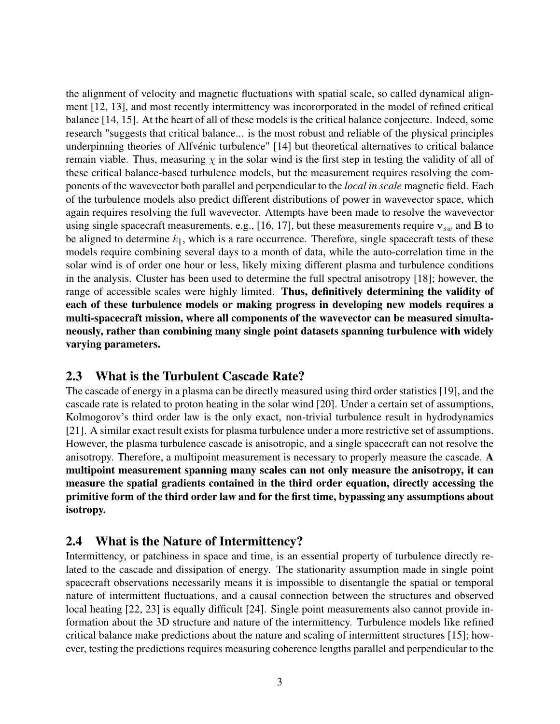the alignment of velocity and magnetic fluctuations with spatial scale, so called dynamical alignment [12, 13], and most recently intermittency was incororporated in the model of refined critical balance [14, 15]. At the heart of all of these models is the critical balance conjecture. Indeed, some research "suggests that critical balance... is the most robust and reliable of the physical principles underpinning theories of Alfvénic turbulence" [14] but theoretical alternatives to critical balance remain viable. Thus, measuring  $\chi$  in the solar wind is the first step in testing the validity of all of these critical balance-based turbulence models, but the measurement requires resolving the components of the wavevector both parallel and perpendicular to the *local in scale* magnetic field. Each of the turbulence models also predict different distributions of power in wavevector space, which again requires resolving the full wavevector. Attempts have been made to resolve the wavevector using single spacecraft measurements, e.g., [16, 17], but these measurements require  $v_{sw}$  and B to be aligned to determine  $k_{\parallel}$ , which is a rare occurrence. Therefore, single spacecraft tests of these models require combining several days to a month of data, while the auto-correlation time in the solar wind is of order one hour or less, likely mixing different plasma and turbulence conditions in the analysis. Cluster has been used to determine the full spectral anisotropy [18]; however, the range of accessible scales were highly limited. Thus, definitively determining the validity of each of these turbulence models or making progress in developing new models requires a multi-spacecraft mission, where all components of the wavevector can be measured simultaneously, rather than combining many single point datasets spanning turbulence with widely varying parameters.

#### 2.3 What is the Turbulent Cascade Rate?

The cascade of energy in a plasma can be directly measured using third order statistics [19], and the cascade rate is related to proton heating in the solar wind [20]. Under a certain set of assumptions, Kolmogorov's third order law is the only exact, non-trivial turbulence result in hydrodynamics [21]. A similar exact result exists for plasma turbulence under a more restrictive set of assumptions. However, the plasma turbulence cascade is anisotropic, and a single spacecraft can not resolve the anisotropy. Therefore, a multipoint measurement is necessary to properly measure the cascade. A multipoint measurement spanning many scales can not only measure the anisotropy, it can measure the spatial gradients contained in the third order equation, directly accessing the primitive form of the third order law and for the first time, bypassing any assumptions about isotropy.

### 2.4 What is the Nature of Intermittency?

Intermittency, or patchiness in space and time, is an essential property of turbulence directly related to the cascade and dissipation of energy. The stationarity assumption made in single point spacecraft observations necessarily means it is impossible to disentangle the spatial or temporal nature of intermittent fluctuations, and a causal connection between the structures and observed local heating [22, 23] is equally difficult [24]. Single point measurements also cannot provide information about the 3D structure and nature of the intermittency. Turbulence models like refined critical balance make predictions about the nature and scaling of intermittent structures [15]; however, testing the predictions requires measuring coherence lengths parallel and perpendicular to the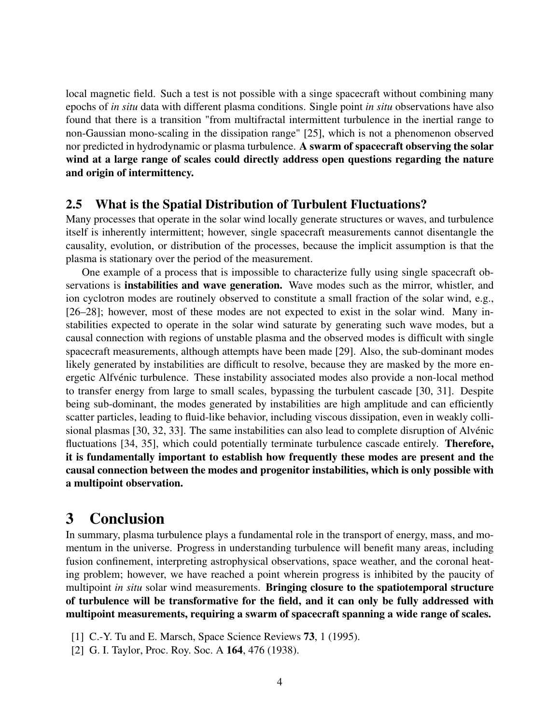local magnetic field. Such a test is not possible with a singe spacecraft without combining many epochs of *in situ* data with different plasma conditions. Single point *in situ* observations have also found that there is a transition "from multifractal intermittent turbulence in the inertial range to non-Gaussian mono-scaling in the dissipation range" [25], which is not a phenomenon observed nor predicted in hydrodynamic or plasma turbulence. A swarm of spacecraft observing the solar wind at a large range of scales could directly address open questions regarding the nature and origin of intermittency.

#### 2.5 What is the Spatial Distribution of Turbulent Fluctuations?

Many processes that operate in the solar wind locally generate structures or waves, and turbulence itself is inherently intermittent; however, single spacecraft measurements cannot disentangle the causality, evolution, or distribution of the processes, because the implicit assumption is that the plasma is stationary over the period of the measurement.

One example of a process that is impossible to characterize fully using single spacecraft observations is **instabilities and wave generation.** Wave modes such as the mirror, whistler, and ion cyclotron modes are routinely observed to constitute a small fraction of the solar wind, e.g., [26–28]; however, most of these modes are not expected to exist in the solar wind. Many instabilities expected to operate in the solar wind saturate by generating such wave modes, but a causal connection with regions of unstable plasma and the observed modes is difficult with single spacecraft measurements, although attempts have been made [29]. Also, the sub-dominant modes likely generated by instabilities are difficult to resolve, because they are masked by the more energetic Alfvénic turbulence. These instability associated modes also provide a non-local method to transfer energy from large to small scales, bypassing the turbulent cascade [30, 31]. Despite being sub-dominant, the modes generated by instabilities are high amplitude and can efficiently scatter particles, leading to fluid-like behavior, including viscous dissipation, even in weakly collisional plasmas [30, 32, 33]. The same instabilities can also lead to complete disruption of Alvénic fluctuations [34, 35], which could potentially terminate turbulence cascade entirely. **Therefore,** it is fundamentally important to establish how frequently these modes are present and the causal connection between the modes and progenitor instabilities, which is only possible with a multipoint observation.

### 3 Conclusion

In summary, plasma turbulence plays a fundamental role in the transport of energy, mass, and momentum in the universe. Progress in understanding turbulence will benefit many areas, including fusion confinement, interpreting astrophysical observations, space weather, and the coronal heating problem; however, we have reached a point wherein progress is inhibited by the paucity of multipoint *in situ* solar wind measurements. Bringing closure to the spatiotemporal structure of turbulence will be transformative for the field, and it can only be fully addressed with multipoint measurements, requiring a swarm of spacecraft spanning a wide range of scales.

- [1] C.-Y. Tu and E. Marsch, Space Science Reviews **73**, 1 (1995).
- [2] G. I. Taylor, Proc. Roy. Soc. A 164, 476 (1938).